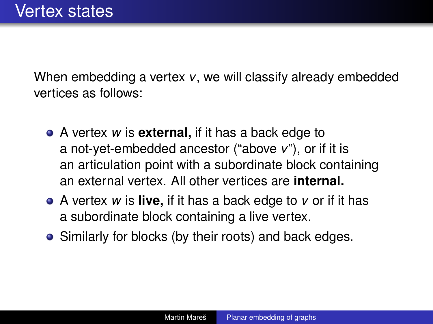<span id="page-0-0"></span>When embedding a vertex *v*, we will classify already embedded vertices as follows:

- A vertex *w* is **external,** if it has a back edge to a not-yet-embedded ancestor ("above *v*"), or if it is an articulation point with a subordinate block containing an external vertex. All other vertices are **internal.**
- A vertex *w* is **live,** if it has a back edge to *v* or if it has a subordinate block containing a live vertex.
- Similarly for blocks (by their roots) and back edges.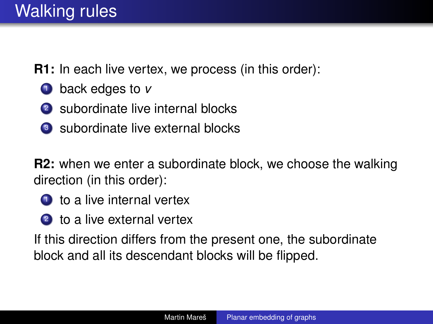- **R1:** In each live vertex, we process (in this order):
	- **1** back edges to *v*
	- 2 subordinate live internal blocks
	- <sup>3</sup> subordinate live external blocks

**R2:** when we enter a subordinate block, we choose the walking direction (in this order):

- **1** to a live internal vertex
- 2 to a live external vertex

If this direction differs from the present one, the subordinate block and all its descendant blocks will be flipped.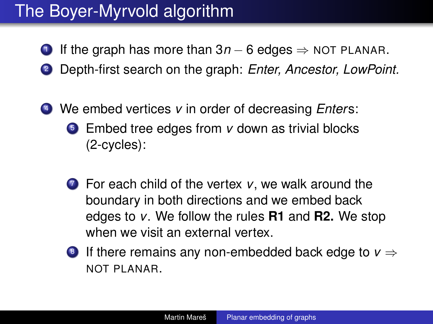- <sup>1</sup> If the graph has more than 3*n* − 6 edges ⇒ NOT PLANAR.
- <sup>2</sup> Depth-first search on the graph: *Enter, Ancestor, LowPoint.*
- <sup>4</sup> We embed vertices *v* in order of decreasing *Enter*s:
	- <sup>5</sup> Embed tree edges from *v* down as trivial blocks (2-cycles):
	- <sup>7</sup> For each child of the vertex *v*, we walk around the boundary in both directions and we embed back edges to *v*. We follow the rules **R1** and **R2.** We stop when we visit an external vertex.
	- <sup>8</sup> If there remains any non-embedded back edge to *v* ⇒ NOT PLANAR.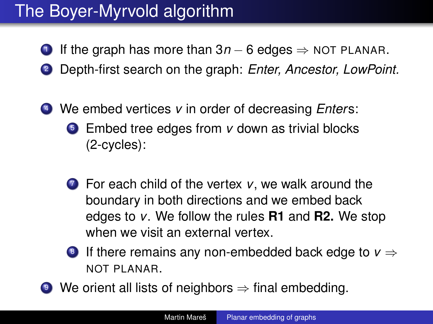- <sup>1</sup> If the graph has more than 3*n* − 6 edges ⇒ NOT PLANAR.
- <sup>2</sup> Depth-first search on the graph: *Enter, Ancestor, LowPoint.*
- <sup>4</sup> We embed vertices *v* in order of decreasing *Enter*s:
	- <sup>5</sup> Embed tree edges from *v* down as trivial blocks (2-cycles):
	- <sup>7</sup> For each child of the vertex *v*, we walk around the boundary in both directions and we embed back edges to *v*. We follow the rules **R1** and **R2.** We stop when we visit an external vertex.
	- <sup>8</sup> If there remains any non-embedded back edge to *v* ⇒ NOT PLANAR.
- $\bullet$  We orient all lists of neighbors  $\Rightarrow$  final embedding.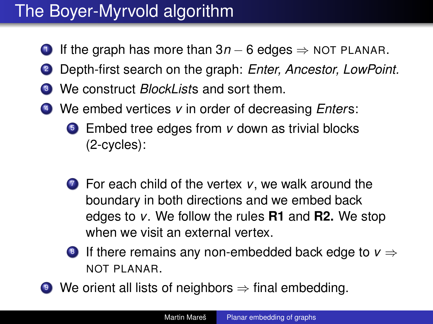- <sup>1</sup> If the graph has more than 3*n* − 6 edges ⇒ NOT PLANAR.
- <sup>2</sup> Depth-first search on the graph: *Enter, Ancestor, LowPoint.*
- <sup>3</sup> We construct *BlockList*s and sort them.
- <sup>4</sup> We embed vertices *v* in order of decreasing *Enter*s:
	- <sup>5</sup> Embed tree edges from *v* down as trivial blocks (2-cycles):
	- <sup>7</sup> For each child of the vertex *v*, we walk around the boundary in both directions and we embed back edges to *v*. We follow the rules **R1** and **R2.** We stop when we visit an external vertex.
	- <sup>8</sup> If there remains any non-embedded back edge to *v* ⇒ NOT PLANAR.
- $\bullet$  We orient all lists of neighbors  $\Rightarrow$  final embedding.